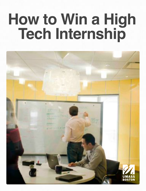# **How to Win a High Tech Internship**

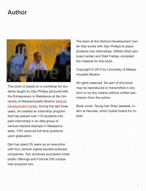### **Author**



This book is based on a workshop for students taught by Dan Phillips (pictured left), the Entrepreneur in Residence at the University of Massachusetts Boston [Venture](http://www.umb.edu/vdc)  [Development Center.](http://www.umb.edu/vdc) During the last three years, he created an internship program that has placed over 110 students into paid internships in an elite group of venture-backed startups in Massachusetts. 73% received full-time positions upon graduation.

Dan has spent 25 years as an executive with four venture capital backed software companies. Two achieved successful initial public offerings and Fortune 200 companies acquired two.

The team at the Venture Development Center that works with Dan Phillips to place students into internships, William Brah (pictured center) and Edel Freitas, compiled the material for this book.

Copyright © 2013 by University of Massachusetts Boston

All rights reserved. No part of this book may be reproduced or transmitted in any form or by any means without written permission from the author.

Book cover: Tsung-han Shen (seated), intern at Neurala, which builds brains for robots.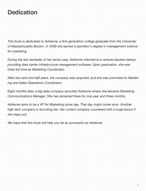## **Dedication**

*This book is dedicated to Adrienne, a first generation college graduate from the University of Massachusetts Boston. In 2009 she earned a bachelor's degree in management science for marketing.*

*During the last semester of her senior year, Adrienne interned at a venture-backed startup providing data center infrastructure management software. Upon graduation, she was hired full time as Marketing Coordinator.*

*After two and one-half years, the company was acquired, and she was promoted to Marketing and Sales Operations Coordinator.*

*Eight months later, a big data company recruited Adrienne where she became Marketing Communications Manager. She has remained there for one year and three months.*

*Adrienne aims to be a VP for Marketing some day. That day might come soon. Another high tech company is recruiting her. Her current company countered with a huge bonus if she stays put.*

*We hope that this book will help you be as successful as Adrienne.*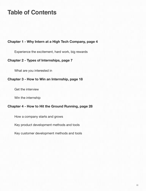## **Table of Contents**

#### **Chapter 1 - Why Intern at a High Tech Company, page 4**

Experience the excitement, hard work, big rewards

#### **Chapter 2 - Types of Internships, page 7**

What are you interested in

#### **Chapter 3 - How to Win an Internship, page 18**

Get the interview

Win the internship

#### **Chapter 4 - How to Hit the Ground Running, page 28**

How a company starts and grows

Key product development methods and tools

Key customer development methods and tools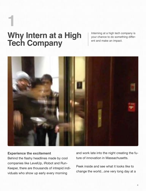## **Why Intern at a High Tech Company 1**

Interning at a high tech company is your chance to do something different and make an impact.



#### **Experience the excitement**

Behind the flashy headlines made by cool companies like LevelUp, iRobot and Run-Keeper, there are thousands of intrepid individuals who show up early every morning

and work late into the night creating the future of innovation in Massachusetts.

Peek inside and see what it looks like to change the world...one very long day at a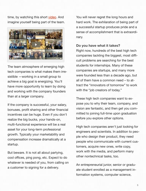time, by watching this short [video.](http://directr.co/at/nevca-holidays) And imagine yourself being part of the team.



The team atmosphere of emerging high tech companies is what makes them irresistible —working in a small group to achieve a big goal is energizing. You'll have more opportunity to learn by doing and working with the company founders than at a larger company.

If the company is successful, your salary, bonuses, profit sharing and other financial incentives can be huge. Even if you don't realize the big bucks, your hands-on, multi-functional experience will be a real asset for your long-term professional growth. Typically your marketability and compensation increase dramatically at a startup.

But beware. It is not all about partying, cool offices, ping pong, etc. Expect to do whatever is needed of you, from calling on a customer to signing for a delivery.

You will never regret the long hours and hard work. The exhilaration of being part of a successful startup produces pride and a sense of accomplishment that is extraordinary.

#### **Do you have what it takes?**

Right now, hundreds of the best high tech companies tackling the biggest, most difficult problems are searching for the best students for internships. Many of these companies are startups, and many more were founded less than a decade ago, but all of them have a common need – to attract the "innovators of tomorrow" to work with the "job creators of today."

These high tech companies want to expose you to why their team, company, and vision are fantastic, and then get you committed to joining full-time upon graduation before you explore other options.

High tech companies aren't just looking for engineers and scientists. In addition to people who design their product, they need people who communicate with current customers, acquire new ones, write copy, work with the media, and perform many other nontechnical tasks, too.

An entrepreneurial junior, senior or graduate student enrolled as a management information systems, computer science,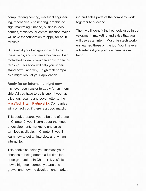computer engineering, electrical engineering, mechanical engineering, graphic design, marketing, finance, business, economics, statistics, or communication major will have the foundation to apply for an internship.

But even if your background is outside these fields, and you are a builder or doer motivated to learn, you can apply for an internship. This book will help you understand how – and why – high tech companies might look at your application.

#### **Apply for an internship, right now**

It's never been easier to apply for an internship. All you have to do is submit your application, resume and cover letter to the [MassTech Intern Partnership.](http://www.masstech.org/intern) Companies will contact you if there is a good match.

This book prepares you to be one of those. In Chapter 2, you'll learn about the types of development, marketing and sales intern jobs available. In Chapter 3, you'll learn how to get an interview and win an internship.

This book also helps you increase your chances of being offered a full time job upon graduation. In Chapter 4, you'll learn how a high tech company starts and grows, and how the development, market-

ing and sales parts of the company work together to succeed.

Then, we'll identify the key tools used in development, marketing and sales that you will use as an intern. Most high tech workers learned these on the job. You'll have an advantage if you practice them before hand.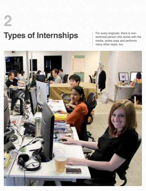## **Types of Internships 2**

For every engineer, there is nontechnical person who works with the media, writes copy and performs many other tasks, too.

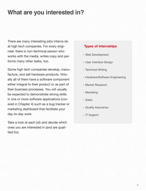## **What are you interested in?**

There are many interesting jobs interns do at high tech companies. For every engineer, there is non-technical person who works with the media, writes copy and performs many other tasks, too.

Some high tech companies develop, manufacture, and sell hardware products. Virtually all of them have a software component either integral to their product or as part of their business processes. You will usually be expected to demonstrate strong skills in one or more software applications (covered in Chapter 4) such as a bug tracker or marketing dashboard that facilitate your day-to-day work.

Take a look at each job and decide which ones you are interested in (and are qualified for).

#### **Types of internships**

- Web Development
- User Interface Design
- Technical Writing
- Hardware/Software Engineering
- Market Research
- Marketing
- Sales
- Quality Assurance
- IT Support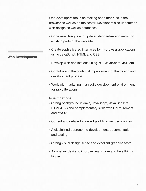Web developers focus on making code that runs in the browser as well as on the server. Developers also understand web design as well as databases.

- Code new designs and update, standardize and re-factor existing parts of the web site
- Create sophisticated interfaces for in-browser applications using JavaScript, HTML and CSS
- Develop web applications using YUI, JavaScript, JSP, etc.
- Contribute to the continual improvement of the design and development process
- Work with marketing in an agile development environment for rapid iterations

#### **Qualifications**

- Strong background in Java, JavaScript, Java Servlets, HTML/CSS and complementary skills with Linux, Tomcat and MySQL
- Current and detailed knowledge of browser peculiarities
- A disciplined approach to development, documentation and testing
- Strong visual design sense and excellent graphics taste
- A constant desire to improve, learn more and take things higher

**Web Development**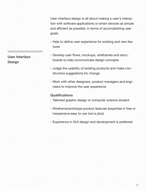User interface design is all about making a user's interaction with software applications or smart devices as simple and efficient as possible, in terms of accomplishing user goals.

- Help to define user experience for existing and new features
- Develop user flows, mockups, wireframes and storyboards to help communicate design concepts
- Judge the usability of existing products and make constructive suggestions for change
- Work with other designers, product managers and engineers to improve the user experience

#### **Qualifications**

- Talented graphic design or computer science student
- Wireframe/prototype product features (expertise in free or inexpensive easy to use tool a plus)
- Experience in GUI design and development is preferred

**User Interface Design**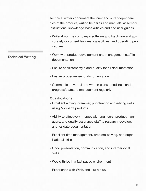Technical writers document the inner and outer dependencies of the product, writing help files and manuals, assembly instructions, knowledge-base articles and end user guides.

- Write about the company's software and hardware and accurately document features, capabilities, and operating procedures
- Work with product development and management staff in documentation
	- Ensure consistent style and quality for all documentation
	- Ensure proper review of documentation
	- Communicate verbal and written plans, deadlines, and progress/status to management regularly

#### **Qualifications**

**Technical Writing**

- Excellent writing, grammar, punctuation and editing skills using Microsoft products
- Ability to effectively interact with engineers, product managers, and quality assurance staff to research, develop, and validate documentation
- Excellent time management, problem-solving, and organizational skills
- Good presentation, communication, and interpersonal skills
- Would thrive in a fast paced environment
- Experience with Wikis and Jira a plus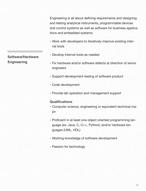Engineering is all about defining requirements and designing and testing analytical instruments, programmable devices and control systems as well as software for business applications and embedded systems.

- Work with developers to iteratively improve existing internal tools
- Develop internal tools as needed
- Fix hardware and/or software defects at direction of senior engineers
- Support development testing of software product
- Code development
- Provide lab operation and management support

#### **Qualifications**

- Computer science, engineering or equivalent technical major
- Proficient in at least one object oriented programming language (ex: Java, C, C++, Python); and/or hardware languages (UML, HDL)
- Working knowledge of software development
- Passion for technology

#### **Software/Hardware Engineering**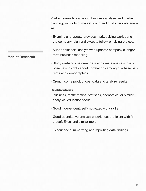Market research is all about business analysis and market planning, with lots of market sizing and customer data analysis.

- Examine and update previous market sizing work done in the company; plan and execute follow-on sizing projects
- Support financial analyst who updates company's longerterm business modeling
- Study on-hand customer data and create analysis to expose new insights about correlations among purchase patterns and demographics
- Crunch some product cost data and analyze results

#### **Qualifications**

- Business, mathematics, statistics, economics, or similar analytical education focus
- Good independent, self-motivated work skills
- Good quantitative analysis experience; proficient with Microsoft Excel and similar tools
- Experience summarizing and reporting data findings

**Market Research**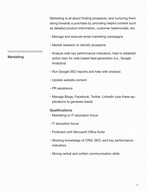Marketing is all about finding prospects, and nurturing them along towards a purchase by providing helpful content such as detailed product information, customer testimonials, etc.

- Manage and execute email marketing campaigns
- Market research to identify prospects
- Analyze web key performance indicators, help to establish action plan for web based lead generation (i.e., Google Analytics)
- Run Google SEO reports and help with analysis
- Update website content
- PR assistance
- Manage Blogs, Facebook, Twitter, LinkedIn (use these applications to generate leads)

#### **Qualifications**

- Marketing or IT education focus
- IT education focus
- Proficient with Microsoft Office Suite
- Working knowledge of CRM, SEO, and key performance indicators
- Strong verbal and written communication skills

#### **Marketing**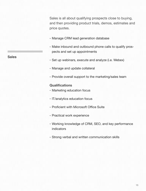Sales is all about qualifying prospects close to buying, and then providing product trials, demos, estimates and price quotes.

- Manage CRM lead generation database
- Make inbound and outbound phone calls to qualify prospects and set up appointments
- Set up webinars, execute and analyze (i.e. Webex)
- Manage and update collateral
- Provide overall support to the marketing/sales team

#### **Qualifications**

- Marketing education focus
- IT/analytics education focus
- Proficient with Microsoft Office Suite
- Practical work experience
- Working knowledge of CRM, SEO, and key performance indicators
- Strong verbal and written communication skills

**Sales**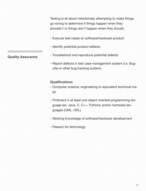Testing is all about intentionally attempting to make things go wrong to determine if things happen when they shouldn't or things don't happen when they should.

- Execute test cases on software/hardware product
- Identify potential product defects
- Troubleshoot and reproduce potential defects
- Report defects in test case management system (i.e. Bugzilla or other bug tracking system)

#### **Qualifications**

- Computer science, engineering or equivalent technical major
- Proficient in at least one object oriented programming language (ex: Java, C, C++, Python); and/or hardware languages (UML, HDL)
- Working knowledge of software/hardware development
- Passion for technology

#### **Quality Assurance**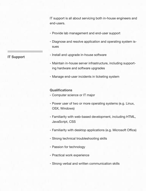IT support is all about servicing both in-house engineers and end-users.

- Provide lab management and end-user support
- Diagnose and resolve application and operating system issues
- Install and upgrade in-house software
	- Maintain in-house server infrastructure, including supporting hardware and software upgrades
	- Manage end-user incidents in ticketing system

#### **Qualifications**

- Computer science or IT major
- Power user of two or more operating systems (e.g. Linux, OSX, Windows)
- Familiarity with web-based development, including HTML, JavaScript, CSS
- Familiarity with desktop applications (e.g. Microsoft Office)
- Strong technical troubleshooting skills
- Passion for technology
- Practical work experience
- Strong verbal and written communication skills

**IT Support**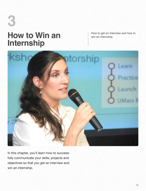## **How to Win an Internship 3**

How to get an interview and how to win an internship



In this chapter, you'll learn how to successfully communicate your skills, projects and objectives so that you get an interview and win an internship.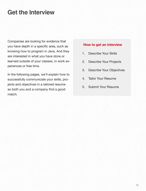### **Get the Interview**

Companies are looking for evidence that you have depth in a specific area, such as knowing how to program in Java. And they are interested in what you have done or learned outside of your classes, in work experiences or free time.

In the following pages, we'll explain how to successfully communicate your skills, projects and objectives in a tailored resume so both you and a company find a good match.

#### **How to get an interview**

- 1. Describe Your Skills
- 2. Describe Your Projects
- 3. Describe Your Objectives
- 4. Tailor Your Resume
- 5. Submit Your Resume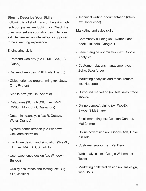#### **Step 1: Describe Your Skills**

Following is a list of many of the skills high tech companies are looking for. Check the ones you feel are your strongest. Be honest. Remember, an internship is supposed to be a learning experience.

#### Engineering skills

- Frontend web dev (ex: HTML, CSS, JS, jQuery)
- Backend web dev (PHP, Rails, Django)
- Object oriented programming (ex: Java, C++, Python)
- Mobile dev (ex: iOS, Android)
- Databases (SQL / NOSQL; ex: MyN BVSQL, MongoDB, Cassandra)
- Data mining/analysis (ex: R, Octave, Weka, Orange)
- System administration (ex: Windows, Unix administration)
- Hardware design and simulation (SysML, HDL; ex: MATLAB, Simulink)
- User experience design (ex: Window-Builder)
- Quality assurance and testing (ex: Bugzilla, Jenkins)

• Technical writing/documentation (Wikis; ex: Confluence)

#### Marketing and sales skills

- Community building (ex: Twitter, Facebook, LinkedIn, Google+)
- Search engine optimization (ex: Google Analytics)
- Customer relations management (ex: Zoho, Salesforce)
- Marketing analytics and measurement (ex: Hubspot)
- Outbound marketing (ex: tele sales, trade shows)
- Online demos/training (ex: WebEx, Skype, SlideShare)
- Email marketing (ex: ConstantContact, MailChimp)
- Online advertising (ex: Google Ads, LinkedIn Ads)
- Customer support (ex: ZenDesk)
- Web analytics (ex: Google Webmaster Tools)
- Marketing collateral design (ex: InDesign, web CMS)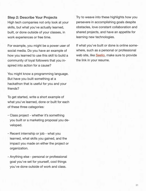#### **Step 2: Describe Your Projects**

High tech companies not only look at your skills, but what you've actually learned, built, or done outside of your classes, in work experiences or free time.

For example, you might be a power user of social media. Do you have an example of how you learned to use this skill to build a community of loyal followers that you inspired into action for a cause?

You might know a programming language. But have you built something at a hackathon that is useful for you and your friends?

To get started, write a short example of what you've learned, done or built for each of these three categories:

- Class project whether it's something you built or a marketing proposal you developed.
- Recent internship or job what you learned, what skills you gained, and the impact you made on either the project or organization.
- Anything else personal or professional goal you've set for yourself, cool things you've done outside of work and class.

Try to weave into these highlights how you persevere in accomplishing goals despite obstacles, love constant collaboration and shared projects, and have an appetite for learning new technologies.

If what you've built or done is online somewhere, such as a personal or professional web site, like **Seelio**, make sure to provide the link in your resume.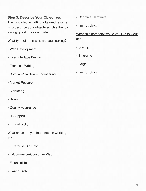#### **Step 3: Describe Your Objectives**

The third step in writing a tailored resume is to describe your objectives. Use the following questions as a guide:

#### What type of internship are you seeking?

- Web Development
- User Interface Design
- Technical Writing
- Software/Hardware Engineering
- Market Research
- Marketing
- Sales
- Quality Assurance
- IT Support
- I'm not picky
- What areas are you interested in working in?
- Enterprise/Big Data
- E-Commerce/Consumer Web
- Financial Tech
- Health Tech
- Robotics/Hardware
- I'm not picky

What size company would you like to work at?

- Startup
- Emerging
- Large
- I'm not picky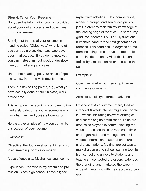#### **Step 4: Tailor Your Resume**

Now, use the information you just provided about your skills, projects and objectives to write a resume.

Say right at the top of your resume, in a heading called "Objectives," what kind of position you are seeking, e.g., web developer, marketer, etc. If you don't know yet, you can instead just put product development, or marketing and sales.

Under that heading, put your areas of specialty, e.g., front-end web development.

Then, put key selling points, e.g., what you have actually done or built in class, work or free time.

This will allow the recruiting company to immediately categorize you as someone who has what they (and you) are looking for.

Here's are examples of how you can write this section of your resume:

#### Example #1

Objective: Product development internship in an emerging robotics company

Areas of specialty: Mechanical engineering

Experience: Robotics is my dream and profession. Since high school, I have aligned

myself with robotics clubs, competitions, research groups, and senior design projects in order to maintain my knowledge of the leading edge of robotics. As part of my graduate research, I built a fully functional humanoid hand for the next generation of robotics. This hand has 16 degrees of freedom including three abduction motors located inside the palm. All of this is controlled by a micro-controller located in the palm.

#### Example #2

Objective: Marketing internship in an ecommerce company

Areas of specialty: Internet marketing

Experience: As a summer intern, I led an intended-6-week internet migration update in 3 weeks, including keyword strategies and search engine optimization. I also created sales playbooks communicating the value proposition to sales representatives, and organized brand management as I developed internal and external brochures and presentations. My final project was to market a game and school learning tool, to high school and university students and teachers. I contacted professors, extended the branding, and marketed the experience of interacting with the web-based program.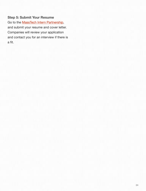#### **Step 5: Submit Your Resume**

Go to the **MassTech Intern Partnership**, and submit your resume and cover letter. Companies will review your application and contact you for an interview if there is a fit.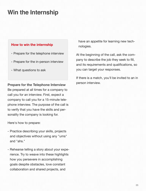## **Win the Internship**

#### **How to win the internship**

- Prepare for the telephone interview
- Prepare for the in-person interview
- What questions to ask

#### **Prepare for the Telephone Interview**

Be prepared at all times for a company to call you for an interview. First, expect a company to call you for a 15-minute telephone interview. The purpose of the call is to verify that you have the skills and personality the company is looking for.

Here's how to prepare:

- Practice describing your skills, projects and objectives without using any "ums" and "ahs."
- Rehearse telling a story about your experience. Try to weave into these highlights how you persevere in accomplishing goals despite obstacles, love constant collaboration and shared projects, and

have an appetite for learning new technologies.

At the beginning of the call, ask the company to describe the job they seek to fill, and its requirements and qualifications, so you can target your responses.

If there is a match, you'll be invited to an in person interview.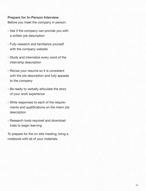#### **Prepare for In-Person Interview**

Before you meet the company in person:

- Ask if the company can provide you with a written job description
- Fully research and familiarize yourself with the company website
- Study and internalize every word of the internship description
- Revise your resume so it is consistent with the job description and fully appeals to the company
- Be ready to verbally articulate the story of your work experience
- Write responses to each of the requirements and qualifications on the intern job description
- Research tools required and download trials to begin learning

To prepare for the on-site meeting, bring a notebook with all of your materials.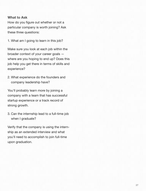#### **What to Ask**

How do you figure out whether or not a particular company is worth joining? Ask these three questions:

1. What am I going to learn in this job?

Make sure you look at each job within the broader context of your career goals where are you hoping to end up? Does this job help you get there in terms of skills and experience?

2. What experience do the founders and company leadership have?

You'll probably learn more by joining a company with a team that has successful startup experience or a track record of strong growth.

3. Can the internship lead to a full-time job when I graduate?

Verify that the company is using the internship as an extended interview and what you'll need to accomplish to join full-time upon graduation.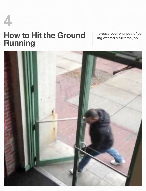## **How to Hit the Ground Running 4**

**Increase your chances of being offered a full time job**

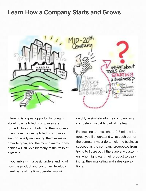### **Learn How a Company Starts and Grows**



Interning is a great opportunity to learn about how high tech companies are formed while contributing to their success. Even more mature high tech companies are continually reinventing themselves in order to grow, and the most dynamic companies will still exhibit many of the traits of a startup.

If you arrive with a basic understanding of how the product and customer development parts of the firm operate, you will

quickly assimilate into the company as a competent, valuable part of the team.

By listening to these short, 2-3 minute lectures, you'll understand what each part of the company must do to help the business succeed as the company progresses from trying to figure out if there are any customers who might want their product to gearing up their marketing and sales operations.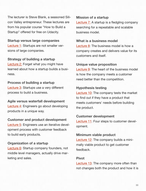The lecturer is Steve Blank, a seasoned Silicon Valley entrepreneur. These lectures are from his popular course "How to Build a Startup" offered for free on Udacity.

#### **Startup versus large companies**

[Lecture 1:](http://youtu.be/k1izZrxR9Lg) Startups are not smaller versions of large companies.

**Strategy of building a startup** [Lecture 2:](http://youtu.be/rr4g-JxGQoM) Forget what you might have learned about how a startup builds a business.

#### **Process of building a startup**

[Lecture 3:](http://youtu.be/IrcP_IQuYk4) Startups use a very different process to build a business.

#### **Agile versus waterfall development**

[Lecture 4:](http://youtu.be/ak97KUFJelM) Engineers go about developing products in a unique way.

#### **Customer and product development**

[Lecture 5:](http://youtu.be/f_LNNnNfpp4) Engineers use an iterative development process with customer feedback to build early products.

#### **Organization of a startup**

**[Lecture 6:](http://youtu.be/VmPTQk5LVlc)** Startup company founders, not middle level managers, actually drive marketing and sales.

#### **Mission of a startup**

[Lecture 7:](http://youtu.be/Gt-rwCUWfqw) A startup is a fledgling company searching for a repeatable and scalable business model.

#### **What is a business model**

[Lecture 8:](http://youtu.be/xRyXo7mWj3A) The business model is how a company creates and delivers value for its customers and itself.

#### **Unique value proposition**

[Lecture 9:](http://youtu.be/PHYKaRVGt3U) The heart of the business model is how the company meets a customer need better than the competition.

#### **Hypothesis testing**

[Lecture 10:](http://youtu.be/PFlSiHWaaMs) The company tests the market to find out if they have a product that meets customers' needs before building the product.

#### **Customer development**

[Lecture 11:](http://youtu.be/TXj3F5MdHUU) Four steps to customer development.

#### **Minimum viable product**

[Lecture 12:](http://youtu.be/joNKkWPafZs) The company builds a minimally viable product to get customer feedback.

#### **Pivot**

**[Lecture 13:](http://youtu.be/p9AuCQTzbgo)** The company more often than not changes both the product and how it is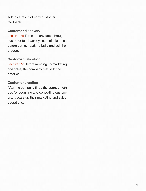sold as a result of early customer feedback.

#### **Customer discovery**

[Lecture 14:](http://youtu.be/FRzz9JJ6iiI) The company goes through customer feedback cycles multiple times before getting ready to build and sell the product.

#### **Customer validation**

[Lecture 15:](http://youtu.be/ewEtBz9SST4) Before ramping up marketing and sales, the company test sells the product.

#### **Customer creation**

After the company finds the correct methods for acquiring and converting customers, it gears up their marketing and sales operations.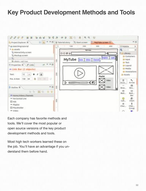## **Key Product Development Methods and Tools**



Each company has favorite methods and tools. We'll cover the most popular or open source versions of the key product development methods and tools.

Most high tech workers learned these on the job. You'll have an advantage if you understand them before hand.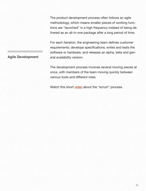The product development process often follows an agile methodology, which means smaller pieces of working functions are "launched" in a high frequency instead of being delivered as an all-in-one package after a long period of time.

For each iteration, the engineering team defines customer requirements; develops specifications; writes and tests the software or hardware; and releases an alpha, beta and general availability version.

**Agile Development**

The development process involves several moving pieces at once, with members of the team moving quickly between various tools and different roles.

Watch this short [video](http://www.axosoft.com/ontime/videos/scrum) about the "scrum" process.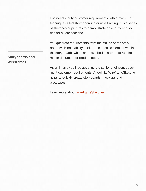Engineers clarify customer requirements with a mock-up technique called story boarding or wire framing. It is a series of sketches or pictures to demonstrate an end-to-end solution for a user scenario.

You generate requirements from the results of the storyboard (with traceability back to the specific element within the storyboard), which are described in a product requirements document or product spec.

As an intern, you'll be assisting the senior engineers document customer requirements. A tool like WireframeSketcher helps to quickly create storyboards, mockups and prototypes.

Learn more about [WireframeSketcher.](http://wireframesketcher.com/features.html)

#### **Storyboards and Wireframes**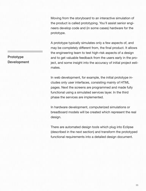Moving from the storyboard to an interactive simulation of the product is called prototyping. You'll assist senior engineers develop code and (in some cases) hardware for the prototype.

A prototype typically simulates only a few aspects of, and may be completely different from, the final product. It allows the engineering team to test high-risk aspects of a design and to get valuable feedback from the users early in the project, and some insight into the accuracy of initial project estimates.

In web development, for example, the initial prototype includes only user interfaces, consisting mainly of HTML pages. Next the screens are programmed and made fully functional using a simulated services layer. In the third phase the services are implemented.

In hardware development, computerized simulations or breadboard models will be created which represent the real design.

There are automated design tools which plug into Eclipse (described in the next section) and transform the prototyped functional requirements into a detailed design document.

#### **Prototype Development**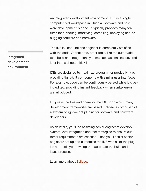An integrated development environment (IDE) is a single computerized workspace in which all software and hardware development is done. It typically provides many features for authoring, modifying, compiling, deploying and debugging software and hardware.

The IDE is used until the engineer is completely satisfied with the code. At that time, other tools, like the automatic test, build and integration systems such as Jenkins (covered later in this chapter) kick in.

IDEs are designed to maximize programmer productivity by providing tight-knit components with similar user interfaces. For example, code can be continuously parsed while it is being edited, providing instant feedback when syntax errors are introduced.

Eclipse is the free and open-source IDE upon which many development frameworks are based. Eclipse is comprised of a system of lightweight plugins for software and hardware developers.

As an intern, you'll be assisting senior engineers develop system-level integration and test strategies to ensure customer requirements are satisfied. Then you'll assist senior engineers set up and customize the IDE with all of the plugins and tools you develop that automate the build and release process.

Learn more about [Eclipse.](http://www.vogella.com/articles/Eclipse/article.html)

**Integrated development environment**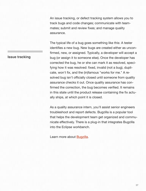An issue tracking, or defect tracking system allows you to track bugs and code changes; communicate with teammates; submit and review fixes; and manage quality assurance.

The typical life of a bug goes something like this: A tester identifies a new bug. New bugs are created either as unconfirmed, new, or assigned. Typically, a developer will accept a bug (or assign it to someone else). Once the developer has corrected the bug, he or she can mark it as resolved, specifying how it was resolved: fixed, invalid (not a bug), duplicate, won't fix, and the (in)famous "works for me." A resolved bug isn't officially closed until someone from quality assurance checks it out. Once quality assurance has confirmed the correction, the bug becomes verified. It remains in this state until the product release containing the fix actually ships, at which point it is closed.

As a quality assurance intern, you'll assist senior engineers troubleshoot and report defects. Bugzilla is a popular tool that helps the development team get organized and communicate effectively. There is a plug-in that integrates Bugzilla into the Eclipse workbench.

Learn more about [Bugzilla.](http://linux.die.net/Bugzilla-Guide/how.html)

#### **Issue tracking**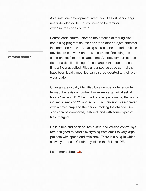As a software development intern, you'll assist senior engineers develop code. So, you need to be familiar with "source code control."

Source code control refers to the practice of storing files containing program source code (and other project artifacts) in a common repository. Using source code control, multiple developers can work on the same project (including the same project file) at the same time. A repository can be queried for a detailed listing of the changes that occurred each time a file was edited. Files under source code control that have been locally modified can also be reverted to their previous state.

Changes are usually identified by a number or letter code, termed the revision number. For example, an initial set of files is "revision 1". When the first change is made, the resulting set is "revision 2", and so on. Each revision is associated with a timestamp and the person making the change. Revisions can be compared, restored, and with some types of files, merged.

Git is a free and open source distributed version control system designed to handle everything from small to very large projects with speed and efficiency. There is a plug-in which allows you to use Git directly within the Eclipse IDE.

Learn more about [Git.](http://git-scm.com/documentation)

#### **Version control**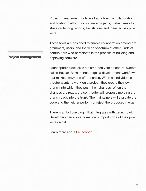Project management tools like Launchpad, a collaboration and hosting platform for software projects, make it easy to share code, bug reports, translations and ideas across projects.

These tools are designed to enable collaboration among programmers, users, and the wide spectrum of other kinds of contributors who participate in the process of building and deploying software.

Launchpad's sidekick is a distributed version control system called Bazaar. Bazaar encourages a development workflow that makes heavy use of branching. When an individual contributor wants to work on a project, they create their own branch into which they push their changes. When the changes are ready, the contributor will propose merging the branch back into the trunk. The maintainers will evaluate the code and then either perform or reject the proposed merge.

There is an Eclipse plugin that integrates with Launchpad. Developers can also automatically import code of their projects on Git.

Learn more about **Launchpad**.

#### **Project management**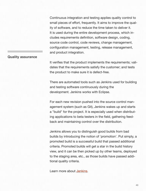Continuous integration and testing applies quality control to small pieces of effort, frequently. It aims to improve the quality of software, and to reduce the time taken to deliver it. It is used during the entire development process, which includes requirements definition, software design, coding, source code control, code reviews, change management, configuration management, testing, release management, and product integration.

#### **Quality assurance**

It verifies that the product implements the requirements; validates that the requirements satisfy the customer; and tests the product to make sure it is defect-free.

There are automated tools such as Jenkins used for building and testing software continuously during the development. Jenkins works with Eclipse.

For each new revision pushed into the source control management system (such as Git), Jenkins wakes up and starts a "build" for the project. It is especially used when distributing applications to beta testers in the field, gathering feedback and maintaining control over the distribution.

Jenkins allows you to distinguish good builds from bad builds by introducing the notion of 'promotion'. Put simply, a promoted build is a successful build that passed additional criteria. Promoted builds will get a star in the build history view, and it can be then picked up by other teams, deployed to the staging area, etc., as those builds have passed additional quality criteria.

Learn more about [Jenkins.](https://wiki.jenkins-ci.org/display/JENKINS/Meet+Jenkins)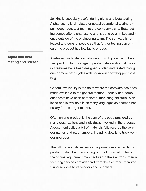Jenkins is especially useful during alpha and beta testing. Alpha testing is simulated or actual operational testing by an independent test team at the company's site. Beta testing comes after alpha testing and is done by a limited audience outside of the engineering team. The software is released to groups of people so that further testing can ensure the product has few faults or bugs.

#### **Alpha and beta testing and release**

A release candidate is a beta version with potential to be a final product. In this stage of product stabilization, all product features have been designed, coded and tested through one or more beta cycles with no known showstopper-class bug.

General availability is the point where the software has been made available to the general market. Security and compliance tests have been completed, marketing collateral is finished and is available in as many languages as deemed necessary for the target market.

Often an end product is the sum of the code provided by many organizations and individuals involved in the product. A document called a bill of materials fully records the vendor names and part numbers, including details to track vendor upgrades.

The bill of materials serves as the primary reference file for product data when transferring product information from the original equipment manufacturer to the electronic manufacturing services provider and from the electronic manufacturing services to its vendors and suppliers.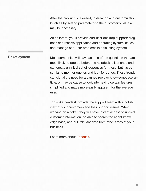After the product is released, installation and customization (such as by setting parameters to the customer's values) may be necessary.

As an intern, you'll provide end-user desktop support; diagnose and resolve application and operating system issues; and manage end-user problems in a ticketing system.

**Ticket system**

Most companies will have an idea of the questions that are most likely to pop up before the helpdesk is launched and can create an initial set of responses for these, but it's essential to monitor queries and look for trends. These trends can signal the need for a canned reply or knowledgebase article, or may be cause to look into having certain features simplified and made more easily apparent for the average user.

Tools like Zendesk provide the support team with a holistic view of your customers and their support issues. When working on a ticket, they will have instant access to unified customer information, be able to search the agent knowledge base, and pull relevant data from other areas of your business.

Learn more about [Zendesk.](https://support.zendesk.com/entries/21231343-Solving-your-first-ticket)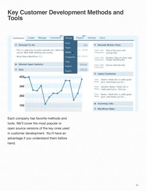### **Key Customer Development Methods and Tools**



Each company has favorite methods and tools. We'll cover the most popular or open source versions of the key ones used in customer development. You'll have an advantage if you understand them before hand.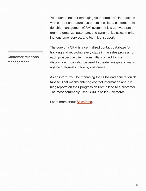Your workbench for managing your company's interactions with current and future customers is called a customer relationship management (CRM) system. It is a software program to organize, automate, and synchronize sales, marketing, customer service, and technical support.

The core of a CRM is a centralized contact database for tracking and recording every stage in the sales process for each prospective client, from initial contact to final disposition. It can also be used to create, assign and manage help requests made by customers.

As an intern, you' be managing the CRM lead generation database. That means entering contact information and running reports on their progression from a lead to a customer. The most commonly used CRM is called Salesforce.

Learn more about [Salesforce.](https://help.salesforce.com/)

**Customer relations management**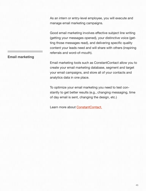As an intern or entry-level employee, you will execute and manage email marketing campaigns.

Good email marketing involves effective subject line writing (getting your messages opened), your distinctive voice (getting those messages read), and delivering specific quality content your leads need and will share with others (inspiring referrals and word-of-mouth).

#### **Email marketing**

Email marketing tools such as ConstantContact allow you to create your email marketing database, segment and target your email campaigns, and store all of your contacts and analytics data in one place.

To optimize your email marketing you need to test constantly to get better results (e.g., changing messaging, time of day email is sent, changing the design, etc.)

Learn more about [ConstantContact.](http://www.constantcontact.com/learning-center/learn-it.jsp)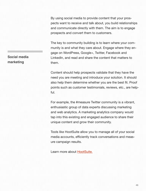By using social media to provide content that your prospects want to receive and talk about, you build relationships and communicate directly with them. The aim is to engage prospects and convert them to customers.

The key to community building is to learn where your community is and what they care about. Engage where they engage on WordPress, Google+, Twitter, Facebook and LinkedIn, and read and share the content that matters to them.

Content should help prospects validate that they have the need you are meeting and introduce your solution. It should also help them determine whether you are the best fit. Proof points such as customer testimonials, reviews, etc., are helpful.

For example, the #measure Twitter community is a vibrant, enthusiastic group of data experts discussing marketing and web analytics. A marketing analytics company would tap into this existing and engaged audience to share their unique content and grow their community.

Tools like HootSuite allow you to manage all of your social media accounts, efficiently track conversations and measure campaign results.

Learn more about [HootSuite.](http://hootsuite.com/features/social-networks)

#### **Social media marketing**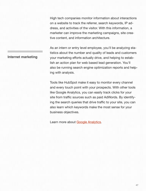High tech companies monitor information about interactions on a website to track the referrer, search keywords, IP address, and activities of the visitor. With this information, a marketer can improve the marketing campaigns, site creative content, and information architecture.

As an intern or entry level employee, you'll be analyzing statistics about the number and quality of leads and customers your marketing efforts actually drive, and helping to establish an action plan for web based lead generation. You'll also be running search engine optimization reports and helping with analysis.

Tools like HubSpot make it easy to monitor every channel and every touch point with your prospects. With other tools like Google Analytics, you can easily track clicks for your site from traffic sources such as paid AdWords. By identifying the search queries that drive traffic to your site, you can also learn which keywords make the most sense for your business objectives.

Learn more about [Google Analytics.](http://www.google.com/analytics/features/index.html)

#### **Internet marketing**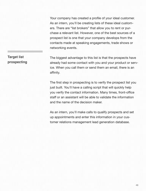Your company has created a profile of your ideal customer. As an intern, you'll be creating lists of these ideal customers. There are "list brokers" that allow you to rent or purchase a relevant list. However, one of the best sources of a prospect list is one that your company develops from the contacts made at speaking engagements, trade shows or networking events.

#### The biggest advantage to this list is that the prospects have already had some contact with you and your product or service. When you call them or send them an email, there is an affinity.

The first step in prospecting is to verify the prospect list you just built. You'll have a calling script that will quickly help you verify the contact information. Many times, front-office staff or an assistant will be able to validate the information and the name of the decision maker.

As an intern, you'll make calls to qualify prospects and set up appointments and enter this information in your customer relations management lead generation database.

#### **Target list prospecting**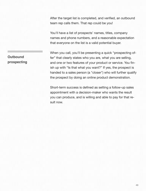After the target list is completed, and verified, an outbound team rep calls them. That rep could be you!

You'll have a list of prospects' names, titles, company names and phone numbers, and a reasonable expectation that everyone on the list is a valid potential buyer.

When you call, you'll be presenting a quick "prospecting offer" that clearly states who you are, what you are selling, and one or two features of your product or service. You finish up with "Is that what you want?" If yes, the prospect is handed to a sales person (a "closer") who will further qualify the prospect by doing an online product demonstration.

Short-term success is defined as setting a follow-up sales appointment with a decision-maker who wants the result you can produce, and is willing and able to pay for that result now.

#### **Outbound prospecting**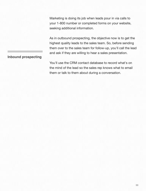Marketing is doing its job when leads pour in via calls to your 1-800 number or completed forms on your website, seeking additional information.

As in outbound prospecting, the objective now is to get the highest quality leads to the sales team. So, before sending them over to the sales team for follow-up, you'll call the lead and ask if they are willing to hear a sales presentation.

#### **Inbound prospecting**

You'll use the CRM contact database to record what's on the mind of the lead so the sales rep knows what to email them or talk to them about during a conversation.